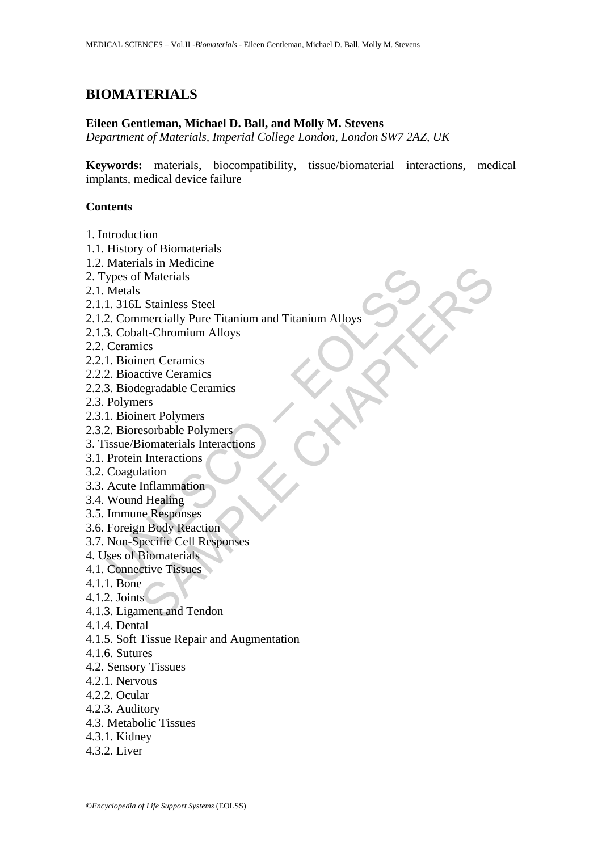# **BIOMATERIALS**

#### **Eileen Gentleman, Michael D. Ball, and Molly M. Stevens**

*Department of Materials, Imperial College London, London SW7 2AZ, UK* 

**Keywords:** materials, biocompatibility, tissue/biomaterial interactions, medical implants, medical device failure

#### **Contents**

- 1. Introduction
- 1.1. History of Biomaterials
- 1.2. Materials in Medicine
- 2. Types of Materials
- 2.1. Metals
- 2.1.1. 316L Stainless Steel
- Francentar Information<br>
Versich Materials<br>
1. 316L Stainless Steel<br>
2. Commercially Pure Titanium and Titanium Alloys<br>
2. Coolat-Chromium Alloys<br>
Ceramics<br>
1. Bioinert Ceramics<br>
2. Bioactive Ceramics<br>
2. Bioactive Ceramics an in wolundary<br>
Materials<br>
Stainless Steel<br>
Stainless Steel<br>
I.It. Chromium Alloys<br>
ics<br>
tity Ceramics<br>
circle Ceramics<br>
egradable Ceramics<br>
egradable Ceramics<br>
enter Polymers<br>
sesorbable Polymers<br>
such a browners<br>
Inflam 2.1.2. Commercially Pure Titanium and Titanium Alloys
- 2.1.3. Cobalt-Chromium Alloys
- 2.2. Ceramics
- 2.2.1. Bioinert Ceramics
- 2.2.2. Bioactive Ceramics
- 2.2.3. Biodegradable Ceramics
- 2.3. Polymers
- 2.3.1. Bioinert Polymers
- 2.3.2. Bioresorbable Polymers
- 3. Tissue/Biomaterials Interactions
- 3.1. Protein Interactions
- 3.2. Coagulation
- 3.3. Acute Inflammation
- 3.4. Wound Healing
- 3.5. Immune Responses
- 3.6. Foreign Body Reaction
- 3.7. Non-Specific Cell Responses
- 4. Uses of Biomaterials
- 4.1. Connective Tissues
- 4.1.1. Bone
- 4.1.2. Joints
- 4.1.3. Ligament and Tendon
- 4.1.4. Dental
- 4.1.5. Soft Tissue Repair and Augmentation
- 4.1.6. Sutures
- 4.2. Sensory Tissues
- 4.2.1. Nervous
- 4.2.2. Ocular
- 4.2.3. Auditory
- 4.3. Metabolic Tissues
- 4.3.1. Kidney
- 4.3.2. Liver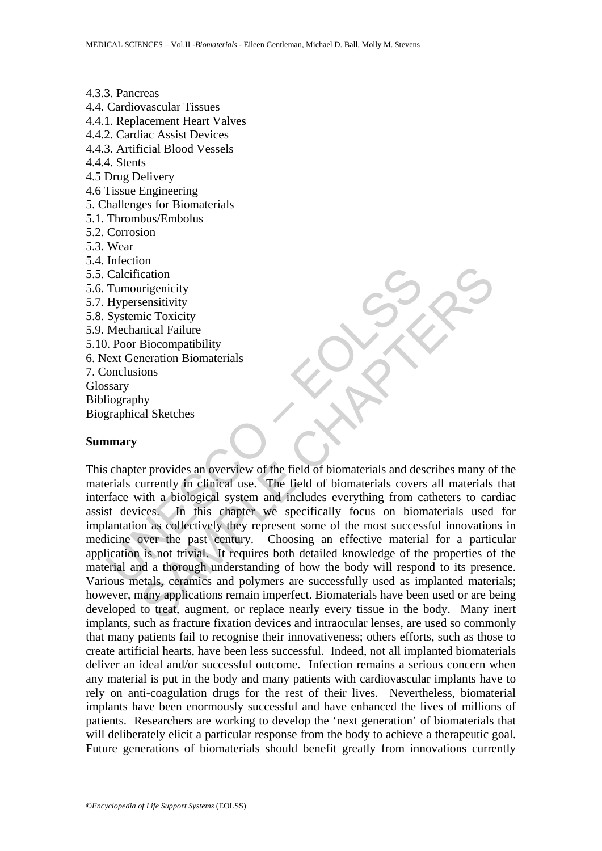4.3.3. Pancreas 4.4. Cardiovascular Tissues 4.4.1. Replacement Heart Valves 4.4.2. Cardiac Assist Devices 4.4.3. Artificial Blood Vessels 4.4.4. Stents 4.5 Drug Delivery 4.6 Tissue Engineering 5. Challenges for Biomaterials 5.1. Thrombus/Embolus 5.2. Corrosion 5.3. Wear 5.4. Infection 5.5. Calcification 5.6. Tumourigenicity 5.7. Hypersensitivity 5.8. Systemic Toxicity 5.9. Mechanical Failure 5.10. Poor Biocompatibility 6. Next Generation Biomaterials 7. Conclusions Glossary Bibliography Biographical Sketches

#### **Summary**

Calcification<br>
Tumourigenicity<br>
Hypersensitivity<br>
Systemic Toxicity<br>
Mechanical Failure<br>
Mechanical Failure<br>
Developed alternation Biomaterials<br>
Sonclusions<br>
Susary<br>
Itiography<br>
Traphical Sketches<br> **mary**<br>
Shapter provides Consideration<br>
Trajenicity<br>
sensitivity<br>
inc Toxicity<br>
incia Failure<br>
Biocompatibility<br>
has a Sketches<br>
by<br>
hy<br>
sa Sketches<br>
For provides an overview of the field of biomaterials and describes many of<br>
urrently in clinical This chapter provides an overview of the field of biomaterials and describes many of the materials currently in clinical use. The field of biomaterials covers all materials that interface with a biological system and includes everything from catheters to cardiac assist devices. In this chapter we specifically focus on biomaterials used for implantation as collectively they represent some of the most successful innovations in medicine over the past century. Choosing an effective material for a particular application is not trivial. It requires both detailed knowledge of the properties of the material and a thorough understanding of how the body will respond to its presence. Various metals, ceramics and polymers are successfully used as implanted materials; however, many applications remain imperfect. Biomaterials have been used or are being developed to treat, augment, or replace nearly every tissue in the body. Many inert implants, such as fracture fixation devices and intraocular lenses, are used so commonly that many patients fail to recognise their innovativeness; others efforts, such as those to create artificial hearts, have been less successful. Indeed, not all implanted biomaterials deliver an ideal and/or successful outcome. Infection remains a serious concern when any material is put in the body and many patients with cardiovascular implants have to rely on anti-coagulation drugs for the rest of their lives. Nevertheless, biomaterial implants have been enormously successful and have enhanced the lives of millions of patients. Researchers are working to develop the 'next generation' of biomaterials that will deliberately elicit a particular response from the body to achieve a therapeutic goal. Future generations of biomaterials should benefit greatly from innovations currently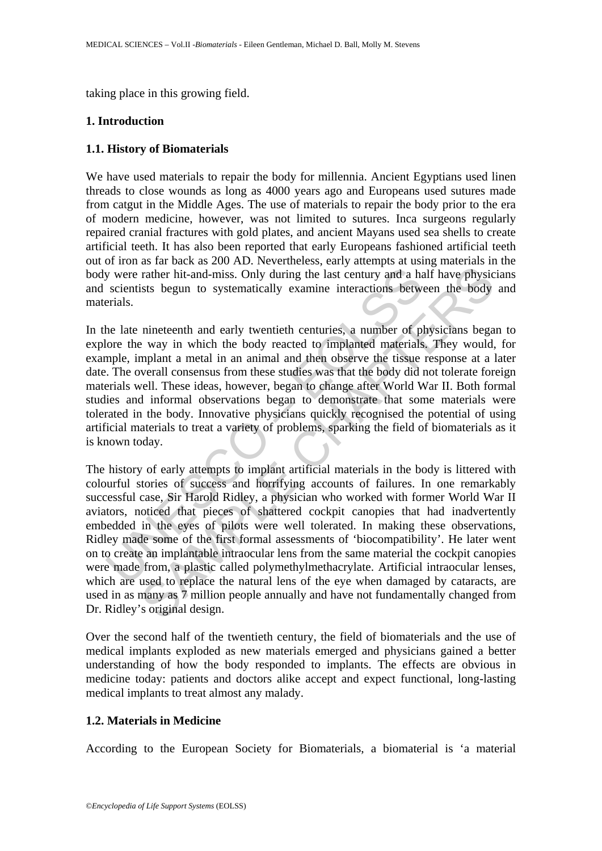taking place in this growing field.

# **1. Introduction**

## **1.1. History of Biomaterials**

We have used materials to repair the body for millennia. Ancient Egyptians used linen threads to close wounds as long as 4000 years ago and Europeans used sutures made from catgut in the Middle Ages. The use of materials to repair the body prior to the era of modern medicine, however, was not limited to sutures. Inca surgeons regularly repaired cranial fractures with gold plates, and ancient Mayans used sea shells to create artificial teeth. It has also been reported that early Europeans fashioned artificial teeth out of iron as far back as 200 AD. Nevertheless, early attempts at using materials in the body were rather hit-and-miss. Only during the last century and a half have physicians and scientists begun to systematically examine interactions between the body and materials.

y were rather hit-and-miss. Only during the last century and a hascientists begun to systematically examine interactions betwerials.<br>
he late nineteenth and early twentieth centuries, a number of plotone the way in which t In the late nineteenth and early twentieth centuries, a number of physicians began to explore the way in which the body reacted to implanted materials. They would, for example, implant a metal in an animal and then observe the tissue response at a later date. The overall consensus from these studies was that the body did not tolerate foreign materials well. These ideas, however, began to change after World War II. Both formal studies and informal observations began to demonstrate that some materials were tolerated in the body. Innovative physicians quickly recognised the potential of using artificial materials to treat a variety of problems, sparking the field of biomaterials as it is known today.

rather hit-and-miss. Only during the last century and a half have physic<br>rather hit-and-miss. Only during the last century and a half have physic<br>ists begun to systematically examine interactions between the body<br>inneteent The history of early attempts to implant artificial materials in the body is littered with colourful stories of success and horrifying accounts of failures. In one remarkably successful case, Sir Harold Ridley, a physician who worked with former World War II aviators, noticed that pieces of shattered cockpit canopies that had inadvertently embedded in the eyes of pilots were well tolerated. In making these observations, Ridley made some of the first formal assessments of 'biocompatibility'. He later went on to create an implantable intraocular lens from the same material the cockpit canopies were made from, a plastic called polymethylmethacrylate. Artificial intraocular lenses, which are used to replace the natural lens of the eye when damaged by cataracts, are used in as many as 7 million people annually and have not fundamentally changed from Dr. Ridley's original design.

Over the second half of the twentieth century, the field of biomaterials and the use of medical implants exploded as new materials emerged and physicians gained a better understanding of how the body responded to implants. The effects are obvious in medicine today: patients and doctors alike accept and expect functional, long-lasting medical implants to treat almost any malady.

## **1.2. Materials in Medicine**

According to the European Society for Biomaterials, a biomaterial is 'a material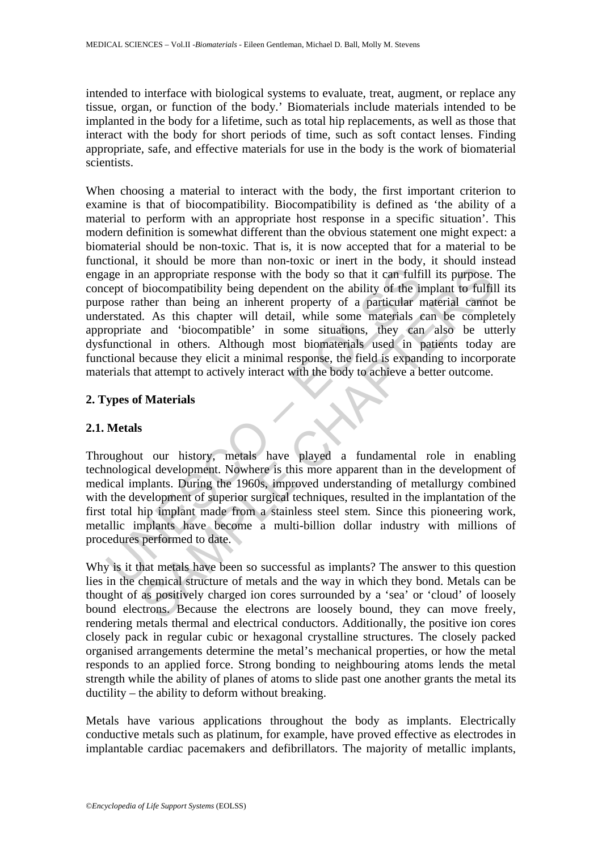intended to interface with biological systems to evaluate, treat, augment, or replace any tissue, organ, or function of the body.' Biomaterials include materials intended to be implanted in the body for a lifetime, such as total hip replacements, as well as those that interact with the body for short periods of time, such as soft contact lenses. Finding appropriate, safe, and effective materials for use in the body is the work of biomaterial scientists.

age in an appropriate response with the body so that it can fulficept of biocompatibility being dependent on the ability of the ir onces rather than being an inherent property of a particular nerstated. As this chapter wil an appropriate response with the body so that it can fulfill its purpose.<br>biocompatibility being dependent on the ability of the implant to fulfil<br>there than being an inherent property of a particular material camno<br>1. As When choosing a material to interact with the body, the first important criterion to examine is that of biocompatibility. Biocompatibility is defined as 'the ability of a material to perform with an appropriate host response in a specific situation'. This modern definition is somewhat different than the obvious statement one might expect: a biomaterial should be non-toxic. That is, it is now accepted that for a material to be functional, it should be more than non-toxic or inert in the body, it should instead engage in an appropriate response with the body so that it can fulfill its purpose. The concept of biocompatibility being dependent on the ability of the implant to fulfill its purpose rather than being an inherent property of a particular material cannot be understated. As this chapter will detail, while some materials can be completely appropriate and 'biocompatible' in some situations, they can also be utterly dysfunctional in others. Although most biomaterials used in patients today are functional because they elicit a minimal response, the field is expanding to incorporate materials that attempt to actively interact with the body to achieve a better outcome.

## **2. Types of Materials**

## **2.1. Metals**

Throughout our history, metals have played a fundamental role in enabling technological development. Nowhere is this more apparent than in the development of medical implants. During the 1960s, improved understanding of metallurgy combined with the development of superior surgical techniques, resulted in the implantation of the first total hip implant made from a stainless steel stem. Since this pioneering work, metallic implants have become a multi-billion dollar industry with millions of procedures performed to date.

Why is it that metals have been so successful as implants? The answer to this question lies in the chemical structure of metals and the way in which they bond. Metals can be thought of as positively charged ion cores surrounded by a 'sea' or 'cloud' of loosely bound electrons. Because the electrons are loosely bound, they can move freely, rendering metals thermal and electrical conductors. Additionally, the positive ion cores closely pack in regular cubic or hexagonal crystalline structures. The closely packed organised arrangements determine the metal's mechanical properties, or how the metal responds to an applied force. Strong bonding to neighbouring atoms lends the metal strength while the ability of planes of atoms to slide past one another grants the metal its ductility – the ability to deform without breaking.

Metals have various applications throughout the body as implants. Electrically conductive metals such as platinum, for example, have proved effective as electrodes in implantable cardiac pacemakers and defibrillators. The majority of metallic implants,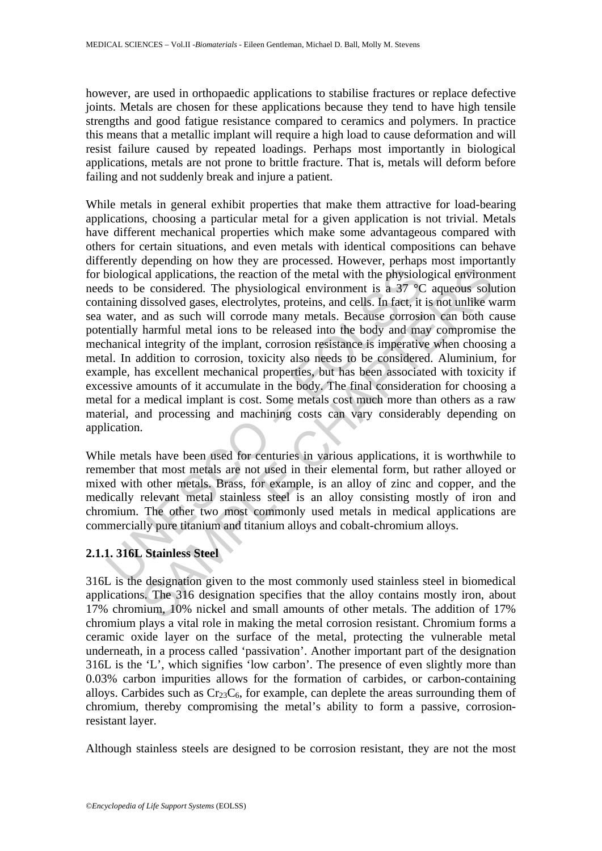however, are used in orthopaedic applications to stabilise fractures or replace defective joints. Metals are chosen for these applications because they tend to have high tensile strengths and good fatigue resistance compared to ceramics and polymers. In practice this means that a metallic implant will require a high load to cause deformation and will resist failure caused by repeated loadings. Perhaps most importantly in biological applications, metals are not prone to brittle fracture. That is, metals will deform before failing and not suddenly break and injure a patient.

biological applications, the reaction of the metal with the physiologicals to be considered. The physiological environment is a 37 °C ataining dissolved gases, electrolytes, proteins, and cells. In fact, it water, and as s and applications, the reaction of the metal with the physiological environme considered. The physiological environment is a  $37^{\circ}$ C aqueous solutions about disasolved gases, electrolytes, proteins, and cells. In fact, i While metals in general exhibit properties that make them attractive for load-bearing applications, choosing a particular metal for a given application is not trivial. Metals have different mechanical properties which make some advantageous compared with others for certain situations, and even metals with identical compositions can behave differently depending on how they are processed. However, perhaps most importantly for biological applications, the reaction of the metal with the physiological environment needs to be considered. The physiological environment is a 37 °C aqueous solution containing dissolved gases, electrolytes, proteins, and cells. In fact, it is not unlike warm sea water, and as such will corrode many metals. Because corrosion can both cause potentially harmful metal ions to be released into the body and may compromise the mechanical integrity of the implant, corrosion resistance is imperative when choosing a metal. In addition to corrosion, toxicity also needs to be considered. Aluminium, for example, has excellent mechanical properties, but has been associated with toxicity if excessive amounts of it accumulate in the body. The final consideration for choosing a metal for a medical implant is cost. Some metals cost much more than others as a raw material, and processing and machining costs can vary considerably depending on application.

While metals have been used for centuries in various applications, it is worthwhile to remember that most metals are not used in their elemental form, but rather alloyed or mixed with other metals. Brass, for example, is an alloy of zinc and copper, and the medically relevant metal stainless steel is an alloy consisting mostly of iron and chromium. The other two most commonly used metals in medical applications are commercially pure titanium and titanium alloys and cobalt-chromium alloys.

# **2.1.1. 316L Stainless Steel**

316L is the designation given to the most commonly used stainless steel in biomedical applications. The 316 designation specifies that the alloy contains mostly iron, about 17% chromium, 10% nickel and small amounts of other metals. The addition of 17% chromium plays a vital role in making the metal corrosion resistant. Chromium forms a ceramic oxide layer on the surface of the metal, protecting the vulnerable metal underneath, in a process called 'passivation'. Another important part of the designation 316L is the 'L', which signifies 'low carbon'. The presence of even slightly more than 0.03% carbon impurities allows for the formation of carbides, or carbon-containing alloys. Carbides such as  $Cr<sub>23</sub>C<sub>6</sub>$ , for example, can deplete the areas surrounding them of chromium, thereby compromising the metal's ability to form a passive, corrosionresistant layer.

Although stainless steels are designed to be corrosion resistant, they are not the most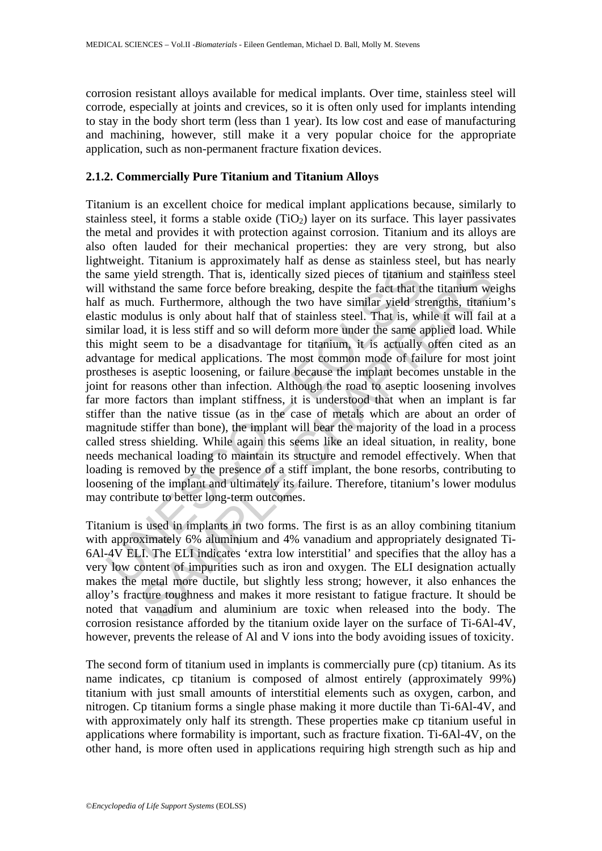corrosion resistant alloys available for medical implants. Over time, stainless steel will corrode, especially at joints and crevices, so it is often only used for implants intending to stay in the body short term (less than 1 year). Its low cost and ease of manufacturing and machining, however, still make it a very popular choice for the appropriate application, such as non-permanent fracture fixation devices.

### **2.1.2. Commercially Pure Titanium and Titanium Alloys**

same yield strength. That is, identically sized pieces of titanium withstand the same force before breaking, despite the fact that if as much. Furthermore, although the two have similar yield stite incolulus is only about ield strength. That is, identically sized pieces of titamium and stainless sand the same force before breaking, despite the fact that the titamium we chould held strength, that is, identically sized pieces of titamium and Titanium is an excellent choice for medical implant applications because, similarly to stainless steel, it forms a stable oxide  $(TiO<sub>2</sub>)$  layer on its surface. This layer passivates the metal and provides it with protection against corrosion. Titanium and its alloys are also often lauded for their mechanical properties: they are very strong, but also lightweight. Titanium is approximately half as dense as stainless steel, but has nearly the same yield strength. That is, identically sized pieces of titanium and stainless steel will withstand the same force before breaking, despite the fact that the titanium weighs half as much. Furthermore, although the two have similar yield strengths, titanium's elastic modulus is only about half that of stainless steel. That is, while it will fail at a similar load, it is less stiff and so will deform more under the same applied load. While this might seem to be a disadvantage for titanium, it is actually often cited as an advantage for medical applications. The most common mode of failure for most joint prostheses is aseptic loosening, or failure because the implant becomes unstable in the joint for reasons other than infection. Although the road to aseptic loosening involves far more factors than implant stiffness, it is understood that when an implant is far stiffer than the native tissue (as in the case of metals which are about an order of magnitude stiffer than bone), the implant will bear the majority of the load in a process called stress shielding. While again this seems like an ideal situation, in reality, bone needs mechanical loading to maintain its structure and remodel effectively. When that loading is removed by the presence of a stiff implant, the bone resorbs, contributing to loosening of the implant and ultimately its failure. Therefore, titanium's lower modulus may contribute to better long-term outcomes.

Titanium is used in implants in two forms. The first is as an alloy combining titanium with approximately 6% aluminium and 4% vanadium and appropriately designated Ti-6Al-4V ELI. The ELI indicates 'extra low interstitial' and specifies that the alloy has a very low content of impurities such as iron and oxygen. The ELI designation actually makes the metal more ductile, but slightly less strong; however, it also enhances the alloy's fracture toughness and makes it more resistant to fatigue fracture. It should be noted that vanadium and aluminium are toxic when released into the body. The corrosion resistance afforded by the titanium oxide layer on the surface of Ti-6Al-4V, however, prevents the release of Al and V ions into the body avoiding issues of toxicity.

The second form of titanium used in implants is commercially pure (cp) titanium. As its name indicates, cp titanium is composed of almost entirely (approximately 99%) titanium with just small amounts of interstitial elements such as oxygen, carbon, and nitrogen. Cp titanium forms a single phase making it more ductile than Ti-6Al-4V, and with approximately only half its strength. These properties make cp titanium useful in applications where formability is important, such as fracture fixation. Ti-6Al-4V, on the other hand, is more often used in applications requiring high strength such as hip and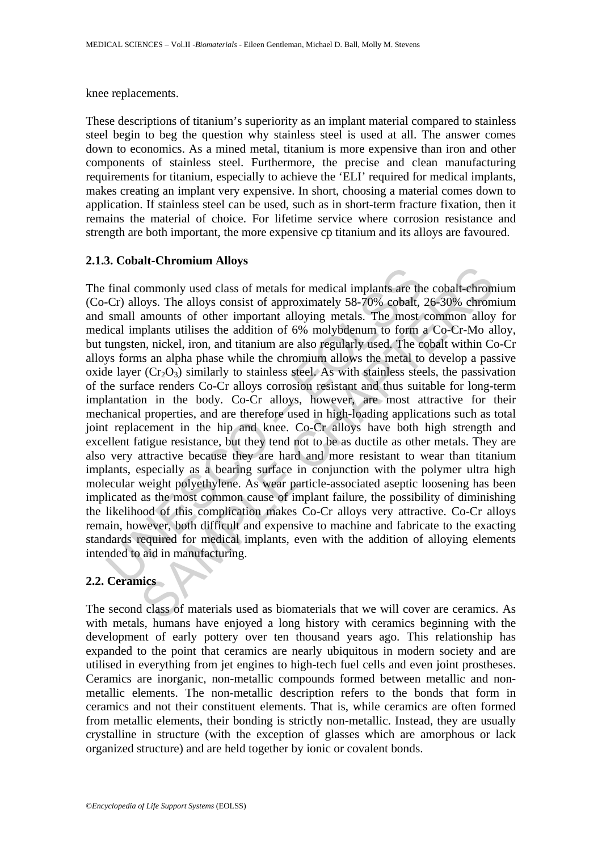#### knee replacements.

These descriptions of titanium's superiority as an implant material compared to stainless steel begin to beg the question why stainless steel is used at all. The answer comes down to economics. As a mined metal, titanium is more expensive than iron and other components of stainless steel. Furthermore, the precise and clean manufacturing requirements for titanium, especially to achieve the 'ELI' required for medical implants, makes creating an implant very expensive. In short, choosing a material comes down to application. If stainless steel can be used, such as in short-term fracture fixation, then it remains the material of choice. For lifetime service where corrosion resistance and strength are both important, the more expensive cp titanium and its alloys are favoured.

#### **2.1.3. Cobalt-Chromium Alloys**

final commonly used class of metals for medical implants are the Cr) alloys. The alloys consist of approximately 58-70% cobalt, small amounts of other inportant alloying metals. The most licial implants utilises the addit and controllar states of metals for medical implants are the cobalt-chromoloys. The alloys consist of approximately 58-70% cobalt, 26-30% chromon amounts of other important alloying metals. The most common alloy plants ut The final commonly used class of metals for medical implants are the cobalt-chromium (Co-Cr) alloys. The alloys consist of approximately 58-70% cobalt, 26-30% chromium and small amounts of other important alloying metals. The most common alloy for medical implants utilises the addition of 6% molybdenum to form a Co-Cr-Mo alloy, but tungsten, nickel, iron, and titanium are also regularly used. The cobalt within Co-Cr alloys forms an alpha phase while the chromium allows the metal to develop a passive oxide layer  $(Cr_2O_3)$  similarly to stainless steel. As with stainless steels, the passivation of the surface renders Co-Cr alloys corrosion resistant and thus suitable for long-term implantation in the body. Co-Cr alloys, however, are most attractive for their mechanical properties, and are therefore used in high-loading applications such as total joint replacement in the hip and knee. Co-Cr alloys have both high strength and excellent fatigue resistance, but they tend not to be as ductile as other metals. They are also very attractive because they are hard and more resistant to wear than titanium implants, especially as a bearing surface in conjunction with the polymer ultra high molecular weight polyethylene. As wear particle-associated aseptic loosening has been implicated as the most common cause of implant failure, the possibility of diminishing the likelihood of this complication makes Co-Cr alloys very attractive. Co-Cr alloys remain, however, both difficult and expensive to machine and fabricate to the exacting standards required for medical implants, even with the addition of alloying elements intended to aid in manufacturing.

### **2.2. Ceramics**

The second class of materials used as biomaterials that we will cover are ceramics. As with metals, humans have enjoyed a long history with ceramics beginning with the development of early pottery over ten thousand years ago. This relationship has expanded to the point that ceramics are nearly ubiquitous in modern society and are utilised in everything from jet engines to high-tech fuel cells and even joint prostheses. Ceramics are inorganic, non-metallic compounds formed between metallic and nonmetallic elements. The non-metallic description refers to the bonds that form in ceramics and not their constituent elements. That is, while ceramics are often formed from metallic elements, their bonding is strictly non-metallic. Instead, they are usually crystalline in structure (with the exception of glasses which are amorphous or lack organized structure) and are held together by ionic or covalent bonds.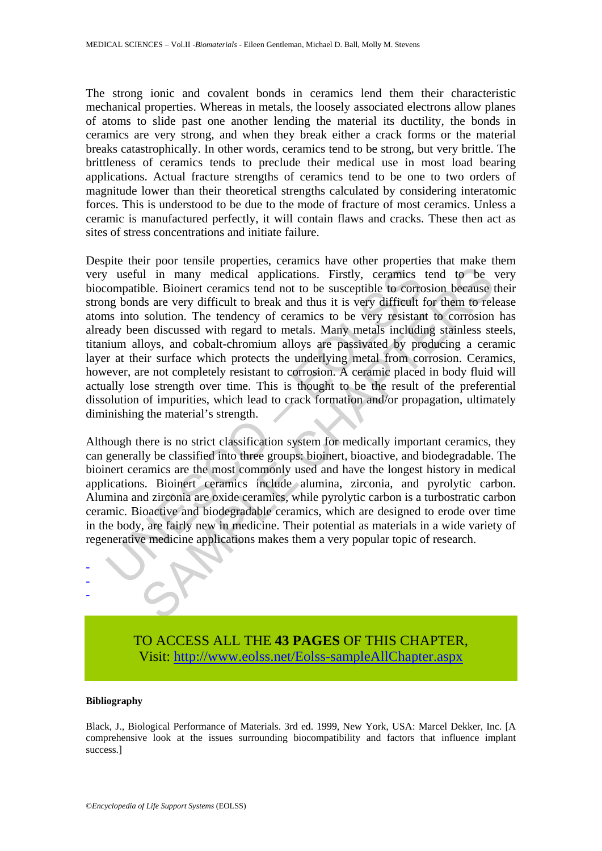The strong ionic and covalent bonds in ceramics lend them their characteristic mechanical properties. Whereas in metals, the loosely associated electrons allow planes of atoms to slide past one another lending the material its ductility, the bonds in ceramics are very strong, and when they break either a crack forms or the material breaks catastrophically. In other words, ceramics tend to be strong, but very brittle. The brittleness of ceramics tends to preclude their medical use in most load bearing applications. Actual fracture strengths of ceramics tend to be one to two orders of magnitude lower than their theoretical strengths calculated by considering interatomic forces. This is understood to be due to the mode of fracture of most ceramics. Unless a ceramic is manufactured perfectly, it will contain flaws and cracks. These then act as sites of stress concentrations and initiate failure.

It useful in many medical applications. Firstly, ceramics<br>compatible. Bioinert ceramics tend not to be susceptible to corron bonds are very difficult to break and thus it is very difficult to<br>as into solution. The tendency and in many medical applications. Firstly, ceramics tend to be to be the Bioinert creamics tend not to be susceptible to corrosion because the solution. The tendency of ceramics to be very difficult to forest and the solut Despite their poor tensile properties, ceramics have other properties that make them very useful in many medical applications. Firstly, ceramics tend to be very biocompatible. Bioinert ceramics tend not to be susceptible to corrosion because their strong bonds are very difficult to break and thus it is very difficult for them to release atoms into solution. The tendency of ceramics to be very resistant to corrosion has already been discussed with regard to metals. Many metals including stainless steels, titanium alloys, and cobalt-chromium alloys are passivated by producing a ceramic layer at their surface which protects the underlying metal from corrosion. Ceramics, however, are not completely resistant to corrosion. A ceramic placed in body fluid will actually lose strength over time. This is thought to be the result of the preferential dissolution of impurities, which lead to crack formation and/or propagation, ultimately diminishing the material's strength.

Although there is no strict classification system for medically important ceramics, they can generally be classified into three groups: bioinert, bioactive, and biodegradable. The bioinert ceramics are the most commonly used and have the longest history in medical applications. Bioinert ceramics include alumina, zirconia, and pyrolytic carbon. Alumina and zirconia are oxide ceramics, while pyrolytic carbon is a turbostratic carbon ceramic. Bioactive and biodegradable ceramics, which are designed to erode over time in the body, are fairly new in medicine. Their potential as materials in a wide variety of regenerative medicine applications makes them a very popular topic of research.



#### **Bibliography**

- - -

Black, J., Biological Performance of Materials. 3rd ed. 1999, New York, USA: Marcel Dekker, Inc. [A comprehensive look at the issues surrounding biocompatibility and factors that influence implant success.]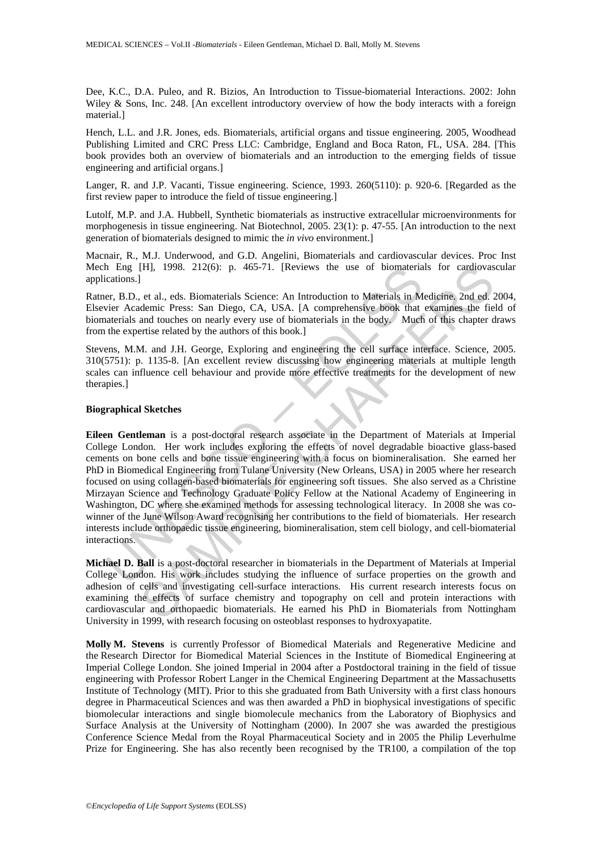Dee, K.C., D.A. Puleo, and R. Bizios, An Introduction to Tissue-biomaterial Interactions. 2002: John Wiley & Sons, Inc. 248. [An excellent introductory overview of how the body interacts with a foreign material.]

Hench, L.L. and J.R. Jones, eds. Biomaterials, artificial organs and tissue engineering. 2005, Woodhead Publishing Limited and CRC Press LLC: Cambridge, England and Boca Raton, FL, USA. 284. [This book provides both an overview of biomaterials and an introduction to the emerging fields of tissue engineering and artificial organs.]

Langer, R. and J.P. Vacanti, Tissue engineering. Science, 1993. 260(5110): p. 920-6. [Regarded as the first review paper to introduce the field of tissue engineering.]

Lutolf, M.P. and J.A. Hubbell, Synthetic biomaterials as instructive extracellular microenvironments for morphogenesis in tissue engineering. Nat Biotechnol, 2005. 23(1): p. 47-55. [An introduction to the next generation of biomaterials designed to mimic the *in vivo* environment.]

Macnair, R., M.J. Underwood, and G.D. Angelini, Biomaterials and cardiovascular devices. Proc Inst Mech Eng [H], 1998. 212(6): p. 465-71. [Reviews the use of biomaterials for cardiovascular applications.]

Ratner, B.D., et al., eds. Biomaterials Science: An Introduction to Materials in Medicine. 2nd ed. 2004, Elsevier Academic Press: San Diego, CA, USA. [A comprehensive book that examines the field of biomaterials and touches on nearly every use of biomaterials in the body. Much of this chapter draws from the expertise related by the authors of this book.]

Stevens, M.M. and J.H. George, Exploring and engineering the cell surface interface. Science, 2005. 310(5751): p. 1135-8. [An excellent review discussing how engineering materials at multiple length scales can influence cell behaviour and provide more effective treatments for the development of new therapies.]

#### **Biographical Sketches**

1 Eng [H], 1998. 212(6): p. 465-71. [Reviews the use of biomateria<br>cations.]<br>
ecations.]<br>
erg, B.D., et al., eds. Biomaterials Science: An Introduction to Materials in M<br>
vier Academic Press: San Diego, CA, USA. [A compreh [H], 1998. 212(6): p. 465-71. [Reviews the use of biomaterials for cardiovas<br>
et al., eds. Biomaterials Science: An Introduction to Materials in Medicine, 2nd ed.<br>
demic Press: San Diego, CA, USA. [A comprehensive book tha **Eileen Gentleman** is a post-doctoral research associate in the Department of Materials at Imperial College London. Her work includes exploring the effects of novel degradable bioactive glass-based cements on bone cells and bone tissue engineering with a focus on biomineralisation. She earned her PhD in Biomedical Engineering from Tulane University (New Orleans, USA) in 2005 where her research focused on using collagen-based biomaterials for engineering soft tissues. She also served as a Christine Mirzayan Science and Technology Graduate Policy Fellow at the National Academy of Engineering in Washington, DC where she examined methods for assessing technological literacy. In 2008 she was cowinner of the June Wilson Award recognising her contributions to the field of biomaterials. Her research interests include orthopaedic tissue engineering, biomineralisation, stem cell biology, and cell-biomaterial interactions.

**Michael D. Ball** is a post-doctoral researcher in biomaterials in the Department of Materials at Imperial College London. His work includes studying the influence of surface properties on the growth and adhesion of cells and investigating cell-surface interactions. His current research interests focus on examining the effects of surface chemistry and topography on cell and protein interactions with cardiovascular and orthopaedic biomaterials. He earned his PhD in Biomaterials from Nottingham University in 1999, with research focusing on osteoblast responses to hydroxyapatite.

**Molly M. Stevens** is currently Professor of Biomedical Materials and Regenerative Medicine and the Research Director for Biomedical Material Sciences in the Institute of Biomedical Engineering at Imperial College London. She joined Imperial in 2004 after a Postdoctoral training in the field of tissue engineering with Professor Robert Langer in the Chemical Engineering Department at the Massachusetts Institute of Technology (MIT). Prior to this she graduated from Bath University with a first class honours degree in Pharmaceutical Sciences and was then awarded a PhD in biophysical investigations of specific biomolecular interactions and single biomolecule mechanics from the Laboratory of Biophysics and Surface Analysis at the University of Nottingham (2000). In 2007 she was awarded the prestigious Conference Science Medal from the Royal Pharmaceutical Society and in 2005 the Philip Leverhulme Prize for Engineering. She has also recently been recognised by the TR100, a compilation of the top